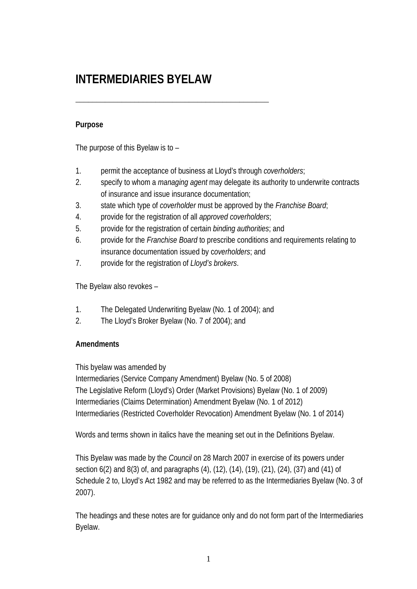# **INTERMEDIARIES BYELAW**

# **Purpose**

The purpose of this Byelaw is to –

- 1. permit the acceptance of business at Lloyd's through *coverholders*;
- 2. specify to whom a *managing agent* may delegate its authority to underwrite contracts of insurance and issue insurance documentation;
- 3. state which type of *coverholder* must be approved by the *Franchise Board*;
- 4. provide for the registration of all *approved coverholders*;

\_\_\_\_\_\_\_\_\_\_\_\_\_\_\_\_\_\_\_\_\_\_\_\_\_\_\_\_\_\_\_\_\_\_\_\_\_\_\_\_\_\_\_\_\_\_

- 5. provide for the registration of certain *binding authorities*; and
- 6. provide for the *Franchise Board* to prescribe conditions and requirements relating to insurance documentation issued by c*overholders*; and
- 7. provide for the registration of *Lloyd's brokers*.

The Byelaw also revokes –

- 1. The Delegated Underwriting Byelaw (No. 1 of 2004); and
- 2. The Lloyd's Broker Byelaw (No. 7 of 2004); and

# **Amendments**

This byelaw was amended by

Intermediaries (Service Company Amendment) Byelaw (No. 5 of 2008) The Legislative Reform (Lloyd's) Order (Market Provisions) Byelaw (No. 1 of 2009) Intermediaries (Claims Determination) Amendment Byelaw (No. 1 of 2012) Intermediaries (Restricted Coverholder Revocation) Amendment Byelaw (No. 1 of 2014)

Words and terms shown in italics have the meaning set out in the Definitions Byelaw.

This Byelaw was made by the *Council* on 28 March 2007 in exercise of its powers under section 6(2) and 8(3) of, and paragraphs (4), (12), (14), (19), (21), (24), (37) and (41) of Schedule 2 to, Lloyd's Act 1982 and may be referred to as the Intermediaries Byelaw (No. 3 of 2007).

The headings and these notes are for guidance only and do not form part of the Intermediaries Byelaw.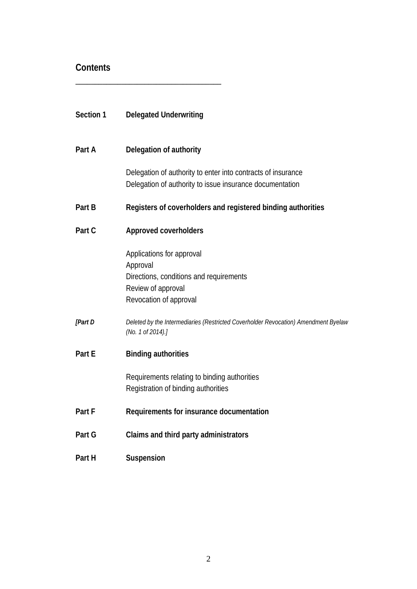# **Contents**

\_\_\_\_\_\_\_\_\_\_\_\_\_\_\_\_\_\_\_\_\_\_\_\_\_\_\_\_\_\_\_\_\_\_\_\_\_\_

| Section 1 | <b>Delegated Underwriting</b>                                                                                                    |
|-----------|----------------------------------------------------------------------------------------------------------------------------------|
| Part A    | Delegation of authority                                                                                                          |
|           | Delegation of authority to enter into contracts of insurance<br>Delegation of authority to issue insurance documentation         |
| Part B    | Registers of coverholders and registered binding authorities                                                                     |
| Part C    | Approved coverholders                                                                                                            |
|           | Applications for approval<br>Approval<br>Directions, conditions and requirements<br>Review of approval<br>Revocation of approval |
| [Part D   | Deleted by the Intermediaries (Restricted Coverholder Revocation) Amendment Byelaw<br>(No. 1 of 2014).]                          |
| Part E    | <b>Binding authorities</b>                                                                                                       |
|           | Requirements relating to binding authorities<br>Registration of binding authorities                                              |
| Part F    | Requirements for insurance documentation                                                                                         |
| Part G    | Claims and third party administrators                                                                                            |
| Part H    | Suspension                                                                                                                       |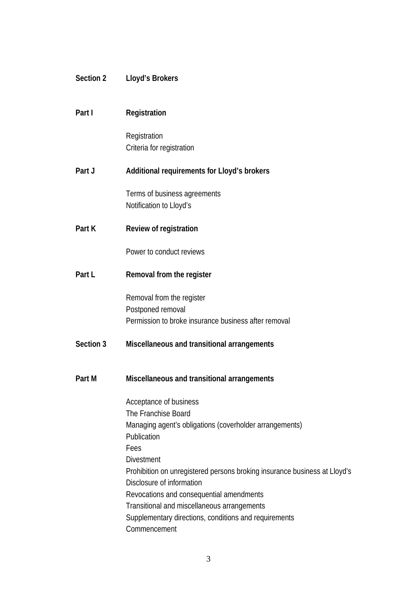| Section 2 | Lloyd's Brokers                                                                                        |
|-----------|--------------------------------------------------------------------------------------------------------|
|           |                                                                                                        |
| Part I    | Registration                                                                                           |
|           | Registration                                                                                           |
|           | Criteria for registration                                                                              |
| Part J    | Additional requirements for Lloyd's brokers                                                            |
|           | Terms of business agreements                                                                           |
|           | Notification to Lloyd's                                                                                |
| Part K    | Review of registration                                                                                 |
|           | Power to conduct reviews                                                                               |
| Part L    | Removal from the register                                                                              |
|           | Removal from the register                                                                              |
|           | Postponed removal<br>Permission to broke insurance business after removal                              |
|           |                                                                                                        |
| Section 3 | Miscellaneous and transitional arrangements                                                            |
|           |                                                                                                        |
| Part M    | Miscellaneous and transitional arrangements                                                            |
|           | Acceptance of business                                                                                 |
|           | The Franchise Board<br>Managing agent's obligations (coverholder arrangements)                         |
|           | Publication                                                                                            |
|           | Fees                                                                                                   |
|           | <b>Divestment</b>                                                                                      |
|           | Prohibition on unregistered persons broking insurance business at Lloyd's<br>Disclosure of information |
|           | Revocations and consequential amendments                                                               |
|           | Transitional and miscellaneous arrangements                                                            |
|           | Supplementary directions, conditions and requirements                                                  |
|           | Commencement                                                                                           |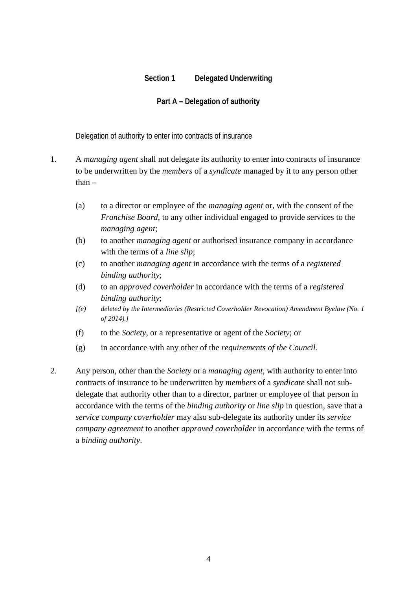# **Section 1 Delegated Underwriting**

#### **Part A – Delegation of authority**

Delegation of authority to enter into contracts of insurance

- 1. A *managing agent* shall not delegate its authority to enter into contracts of insurance to be underwritten by the *members* of a *syndicate* managed by it to any person other than –
	- (a) to a director or employee of the *managing agent* or, with the consent of the *Franchise Board*, to any other individual engaged to provide services to the *managing agent*;
	- (b) to another *managing agent* or authorised insurance company in accordance with the terms of a *line slip*;
	- (c) to another *managing agent* in accordance with the terms of a *registered binding authority*;
	- (d) to an *approved coverholder* in accordance with the terms of a *registered binding authority*;
	- *[(e) deleted by the Intermediaries (Restricted Coverholder Revocation) Amendment Byelaw (No. 1 of 2014).]*
	- (f) to the *Society*, or a representative or agent of the *Society*; or
	- (g) in accordance with any other of the *requirements of the Council*.
- 2. Any person, other than the *Society* or a *managing agent*, with authority to enter into contracts of insurance to be underwritten by *members* of a *syndicate* shall not subdelegate that authority other than to a director, partner or employee of that person in accordance with the terms of the *binding authority* or *line slip* in question, save that a *service company coverholder* may also sub-delegate its authority under its *service company agreement* to another *approved coverholder* in accordance with the terms of a *binding authority*.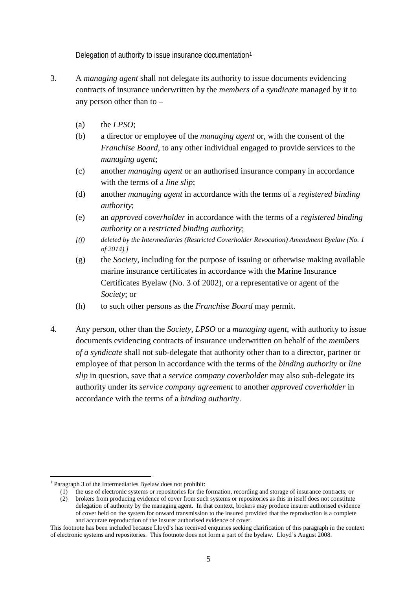Delegation of authority to issue insurance documentation[1](#page-4-0)

- 3. A *managing agent* shall not delegate its authority to issue documents evidencing contracts of insurance underwritten by the *members* of a *syndicate* managed by it to any person other than to –
	- (a) the *LPSO*;
	- (b) a director or employee of the *managing agent* or, with the consent of the *Franchise Board*, to any other individual engaged to provide services to the *managing agent*;
	- (c) another *managing agent* or an authorised insurance company in accordance with the terms of a *line slip*;
	- (d) another *managing agent* in accordance with the terms of a *registered binding authority*;
	- (e) an *approved coverholder* in accordance with the terms of a *registered binding authority* or a *restricted binding authority*;
	- *[(f) deleted by the Intermediaries (Restricted Coverholder Revocation) Amendment Byelaw (No. 1 of 2014).]*
	- (g) the *Society*, including for the purpose of issuing or otherwise making available marine insurance certificates in accordance with the Marine Insurance Certificates Byelaw (No. 3 of 2002), or a representative or agent of the *Society*; or
	- (h) to such other persons as the *Franchise Board* may permit.
- 4. Any person, other than the *Society*, *LPSO* or a *managing agent*, with authority to issue documents evidencing contracts of insurance underwritten on behalf of the *members of a syndicate* shall not sub-delegate that authority other than to a director, partner or employee of that person in accordance with the terms of the *binding authority* or *line slip* in question, save that a *service company coverholder* may also sub-delegate its authority under its *service company agreement* to another *approved coverholder* in accordance with the terms of a *binding authority*.

<span id="page-4-0"></span> <sup>1</sup> Paragraph 3 of the Intermediaries Byelaw does not prohibit:

<sup>(1)</sup> the use of electronic systems or repositories for the formation, recording and storage of insurance contracts; or

<sup>(2)</sup> brokers from producing evidence of cover from such systems or repositories as this in itself does not constitute delegation of authority by the managing agent. In that context, brokers may produce insurer authorised evidence of cover held on the system for onward transmission to the insured provided that the reproduction is a complete and accurate reproduction of the insurer authorised evidence of cover.

This footnote has been included because Lloyd's has received enquiries seeking clarification of this paragraph in the context of electronic systems and repositories. This footnote does not form a part of the byelaw. Lloyd's August 2008.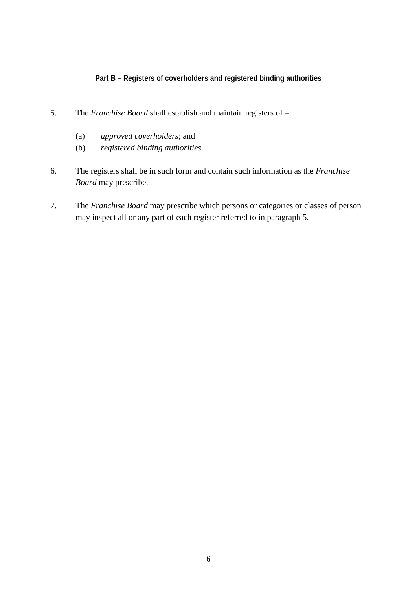# **Part B – Registers of coverholders and registered binding authorities**

- 5. The *Franchise Board* shall establish and maintain registers of
	- (a) *approved coverholders*; and
	- (b) *registered binding authorities*.
- 6. The registers shall be in such form and contain such information as the *Franchise Board* may prescribe.
- 7. The *Franchise Board* may prescribe which persons or categories or classes of person may inspect all or any part of each register referred to in paragraph 5.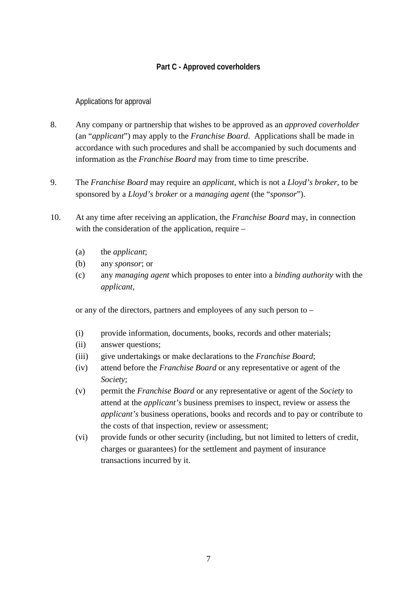# **Part C - Approved coverholders**

Applications for approval

- 8. Any company or partnership that wishes to be approved as an *approved coverholder* (an "*applicant*") may apply to the *Franchise Board*.Applications shall be made in accordance with such procedures and shall be accompanied by such documents and information as the *Franchise Board* may from time to time prescribe.
- 9. The *Franchise Board* may require an *applicant*, which is not a *Lloyd's broker*, to be sponsored by a *Lloyd's broker* or a *managing agent* (the "*sponsor*").
- 10. At any time after receiving an application, the *Franchise Board* may, in connection with the consideration of the application, require –
	- (a) the *applicant*;
	- (b) any *sponsor*; or
	- (c) any *managing agent* which proposes to enter into a *binding authority* with the *applicant*,

or any of the directors, partners and employees of any such person to –

- (i) provide information, documents, books, records and other materials;
- (ii) answer questions;
- (iii) give undertakings or make declarations to the *Franchise Board*;
- (iv) attend before the *Franchise Board* or any representative or agent of the *Society*;
- (v) permit the *Franchise Board* or any representative or agent of the *Society* to attend at the *applicant's* business premises to inspect, review or assess the *applicant's* business operations, books and records and to pay or contribute to the costs of that inspection, review or assessment;
- (vi) provide funds or other security (including, but not limited to letters of credit, charges or guarantees) for the settlement and payment of insurance transactions incurred by it.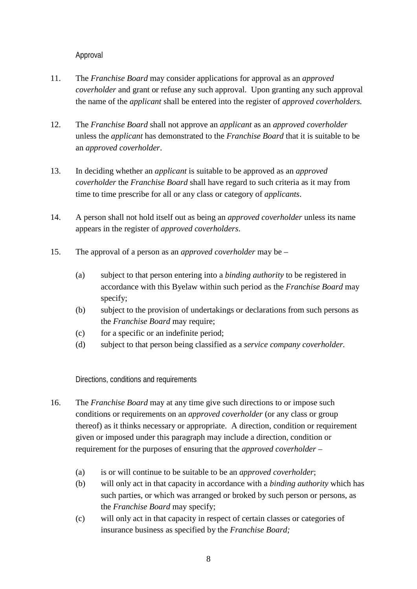Approval

- 11. The *Franchise Board* may consider applications for approval as an *approved coverholder* and grant or refuse any such approval. Upon granting any such approval the name of the *applicant* shall be entered into the register of *approved coverholders.*
- 12. The *Franchise Board* shall not approve an *applicant* as an *approved coverholder* unless the *applicant* has demonstrated to the *Franchise Board* that it is suitable to be an *approved coverholder*.
- 13. In deciding whether an *applicant* is suitable to be approved as an *approved coverholder* the *Franchise Board* shall have regard to such criteria as it may from time to time prescribe for all or any class or category of *applicants*.
- 14. A person shall not hold itself out as being an *approved coverholder* unless its name appears in the register of *approved coverholders*.
- 15. The approval of a person as an *approved coverholder* may be
	- (a) subject to that person entering into a *binding authority* to be registered in accordance with this Byelaw within such period as the *Franchise Board* may specify;
	- (b) subject to the provision of undertakings or declarations from such persons as the *Franchise Board* may require;
	- (c) for a specific or an indefinite period;
	- (d) subject to that person being classified as a *service company coverholder.*

Directions, conditions and requirements

- 16. The *Franchise Board* may at any time give such directions to or impose such conditions or requirements on an *approved coverholder* (or any class or group thereof) as it thinks necessary or appropriate. A direction, condition or requirement given or imposed under this paragraph may include a direction, condition or requirement for the purposes of ensuring that the *approved coverholder* –
	- (a) is or will continue to be suitable to be an *approved coverholder*;
	- (b) will only act in that capacity in accordance with a *binding authority* which has such parties, or which was arranged or broked by such person or persons, as the *Franchise Board* may specify;
	- (c) will only act in that capacity in respect of certain classes or categories of insurance business as specified by the *Franchise Board;*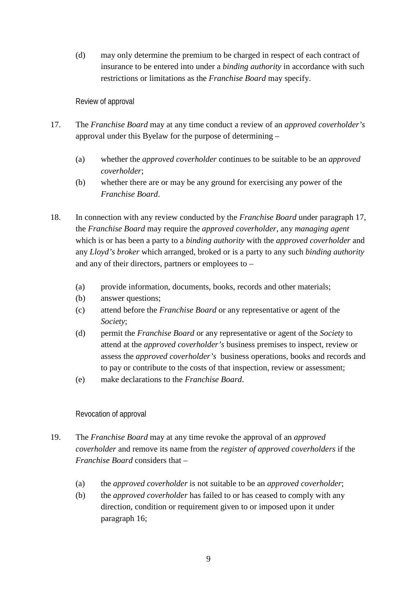(d) may only determine the premium to be charged in respect of each contract of insurance to be entered into under a *binding authority* in accordance with such restrictions or limitations as the *Franchise Board* may specify.

#### Review of approval

- 17. The *Franchise Board* may at any time conduct a review of an *approved coverholder's*  approval under this Byelaw for the purpose of determining –
	- (a) whether the *approved coverholder* continues to be suitable to be an *approved coverholder*;
	- (b) whether there are or may be any ground for exercising any power of the *Franchise Board*.
- 18. In connection with any review conducted by the *Franchise Board* under paragraph 17, the *Franchise Board* may require the *approved coverholder*, any *managing agent* which is or has been a party to a *binding authority* with the *approved coverholder* and any *Lloyd's broker* which arranged, broked or is a party to any such *binding authority* and any of their directors, partners or employees to –
	- (a) provide information, documents, books, records and other materials;
	- (b) answer questions;
	- (c) attend before the *Franchise Board* or any representative or agent of the *Society*;
	- (d) permit the *Franchise Board* or any representative or agent of the *Society* to attend at the *approved coverholder's* business premises to inspect, review or assess the *approved coverholder's* business operations, books and records and to pay or contribute to the costs of that inspection, review or assessment;
	- (e) make declarations to the *Franchise Board*.

#### Revocation of approval

- 19. The *Franchise Board* may at any time revoke the approval of an *approved coverholder* and remove its name from the *register of approved coverholders* if the *Franchise Board* considers that –
	- (a) the *approved coverholder* is not suitable to be an *approved coverholder*;
	- (b) the *approved coverholder* has failed to or has ceased to comply with any direction, condition or requirement given to or imposed upon it under paragraph 16;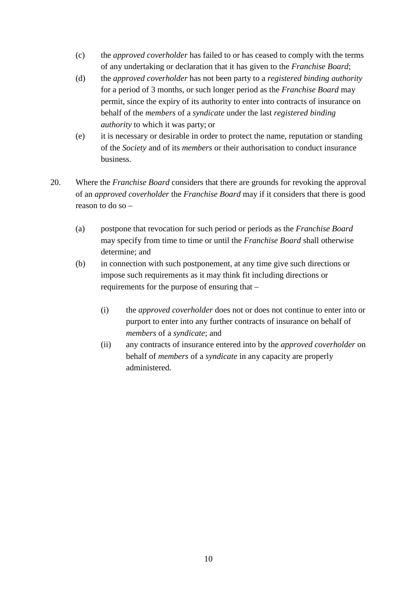- (c) the *approved coverholder* has failed to or has ceased to comply with the terms of any undertaking or declaration that it has given to the *Franchise Board*;
- (d) the *approved coverholder* has not been party to a *registered binding authority* for a period of 3 months, or such longer period as the *Franchise Board* may permit, since the expiry of its authority to enter into contracts of insurance on behalf of the *members* of a *syndicate* under the last *registered binding authority* to which it was party; or
- (e) it is necessary or desirable in order to protect the name, reputation or standing of the *Society* and of its *members* or their authorisation to conduct insurance business.
- 20. Where the *Franchise Board* considers that there are grounds for revoking the approval of an *approved coverholder* the *Franchise Board* may if it considers that there is good reason to do so –
	- (a) postpone that revocation for such period or periods as the *Franchise Board* may specify from time to time or until the *Franchise Board* shall otherwise determine; and
	- (b) in connection with such postponement, at any time give such directions or impose such requirements as it may think fit including directions or requirements for the purpose of ensuring that –
		- (i) the *approved coverholder* does not or does not continue to enter into or purport to enter into any further contracts of insurance on behalf of *members* of a *syndicate*; and
		- (ii) any contracts of insurance entered into by the *approved coverholder* on behalf of *members* of a *syndicate* in any capacity are properly administered.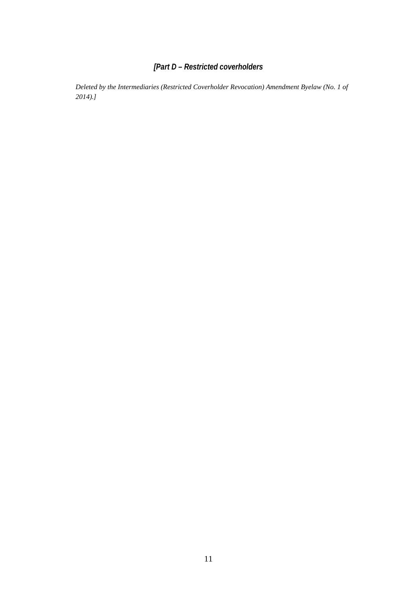# *[Part D – Restricted coverholders*

*Deleted by the Intermediaries (Restricted Coverholder Revocation) Amendment Byelaw (No. 1 of 2014).]*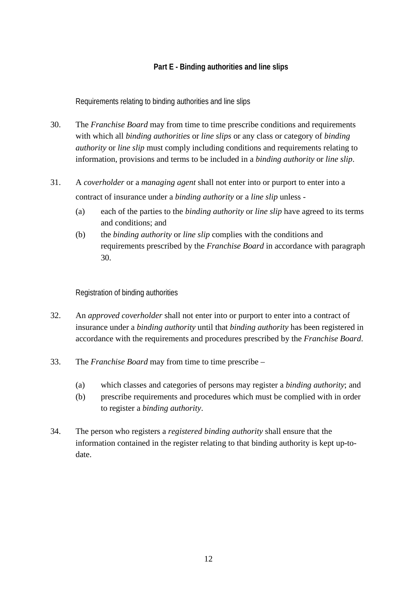# **Part E - Binding authorities and line slips**

Requirements relating to binding authorities and line slips

- 30. The *Franchise Board* may from time to time prescribe conditions and requirements with which all *binding authorities* or *line slips* or any class or category of *binding authority* or *line slip* must comply including conditions and requirements relating to information, provisions and terms to be included in a *binding authority* or *line slip*.
- 31. A *coverholder* or a *managing agent* shall not enter into or purport to enter into a contract of insurance under a *binding authority* or a *line slip* unless -
	- (a) each of the parties to the *binding authority* or *line slip* have agreed to its terms and conditions; and
	- (b) the *binding authority* or *line slip* complies with the conditions and requirements prescribed by the *Franchise Board* in accordance with paragraph 30.

Registration of binding authorities

- 32. An *approved coverholder* shall not enter into or purport to enter into a contract of insurance under a *binding authority* until that *binding authority* has been registered in accordance with the requirements and procedures prescribed by the *Franchise Board*.
- 33. The *Franchise Board* may from time to time prescribe
	- (a) which classes and categories of persons may register a *binding authority*; and
	- (b) prescribe requirements and procedures which must be complied with in order to register a *binding authority*.
- 34. The person who registers a *registered binding authority* shall ensure that the information contained in the register relating to that binding authority is kept up-todate.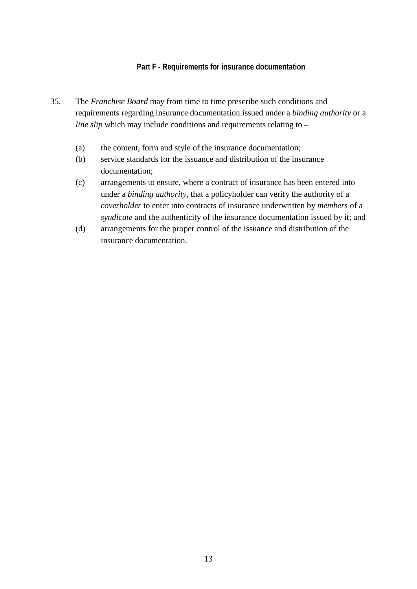#### **Part F - Requirements for insurance documentation**

- 35. The *Franchise Board* may from time to time prescribe such conditions and requirements regarding insurance documentation issued under a *binding authority* or a *line slip* which may include conditions and requirements relating to –
	- (a) the content, form and style of the insurance documentation;
	- (b) service standards for the issuance and distribution of the insurance documentation;
	- (c) arrangements to ensure, where a contract of insurance has been entered into under a *binding authority*, that a policyholder can verify the authority of a *coverholder* to enter into contracts of insurance underwritten by *members* of a *syndicate* and the authenticity of the insurance documentation issued by it; and
	- (d) arrangements for the proper control of the issuance and distribution of the insurance documentation.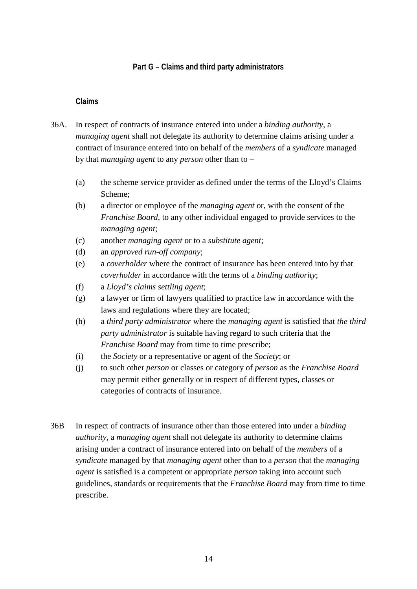# **Part G – Claims and third party administrators**

#### **Claims**

- 36A. In respect of contracts of insurance entered into under a *binding authority*, a *managing agent* shall not delegate its authority to determine claims arising under a contract of insurance entered into on behalf of the *members* of a *syndicate* managed by that *managing agent* to any *person* other than to –
	- (a) the scheme service provider as defined under the terms of the Lloyd's Claims Scheme;
	- (b) a director or employee of the *managing agent* or, with the consent of the *Franchise Board*, to any other individual engaged to provide services to the *managing agent*;
	- (c) another *managing agent* or to a *substitute agent*;
	- (d) an *approved run-off company*;
	- (e) a *coverholder* where the contract of insurance has been entered into by that *coverholder* in accordance with the terms of a *binding authority*;
	- (f) a *Lloyd's claims settling agent*;
	- (g) a lawyer or firm of lawyers qualified to practice law in accordance with the laws and regulations where they are located;
	- (h) a *third party administrator* where the *managing agent* is satisfied that *the third party administrator* is suitable having regard to such criteria that the *Franchise Board* may from time to time prescribe;
	- (i) the *Society* or a representative or agent of the *Society*; or
	- (j) to such other *person* or classes or category of *person* as the *Franchise Board* may permit either generally or in respect of different types, classes or categories of contracts of insurance.
- 36B In respect of contracts of insurance other than those entered into under a *binding authority*, a *managing agent* shall not delegate its authority to determine claims arising under a contract of insurance entered into on behalf of the *members* of a *syndicate* managed by that *managing agent* other than to a *person* that the *managing agent* is satisfied is a competent or appropriate *person* taking into account such guidelines, standards or requirements that the *Franchise Board* may from time to time prescribe.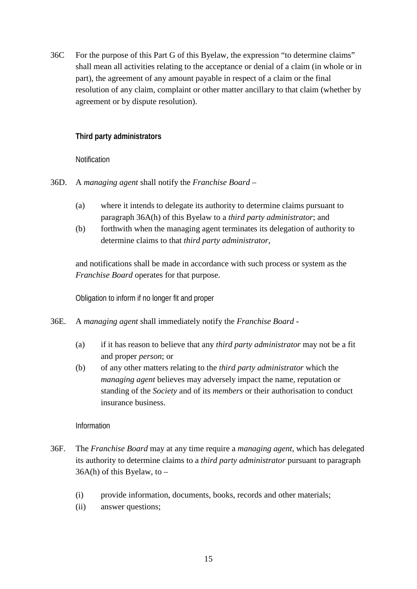36C For the purpose of this Part G of this Byelaw, the expression "to determine claims" shall mean all activities relating to the acceptance or denial of a claim (in whole or in part), the agreement of any amount payable in respect of a claim or the final resolution of any claim, complaint or other matter ancillary to that claim (whether by agreement or by dispute resolution).

# **Third party administrators**

**Notification** 

36D. A *managing agent* shall notify the *Franchise Board* –

- (a) where it intends to delegate its authority to determine claims pursuant to paragraph 36A(h) of this Byelaw to a *third party administrator*; and
- (b) forthwith when the managing agent terminates its delegation of authority to determine claims to that *third party administrator*,

and notifications shall be made in accordance with such process or system as the *Franchise Board* operates for that purpose.

Obligation to inform if no longer fit and proper

- 36E. A *managing agent* shall immediately notify the *Franchise Board*
	- (a) if it has reason to believe that any *third party administrator* may not be a fit and proper *person*; or
	- (b) of any other matters relating to the *third party administrator* which the *managing agent* believes may adversely impact the name, reputation or standing of the *Society* and of its *members* or their authorisation to conduct insurance business.

Information

- 36F. The *Franchise Board* may at any time require a *managing agent*, which has delegated its authority to determine claims to a *third party administrator* pursuant to paragraph  $36A(h)$  of this Byelaw, to –
	- (i) provide information, documents, books, records and other materials;
	- (ii) answer questions;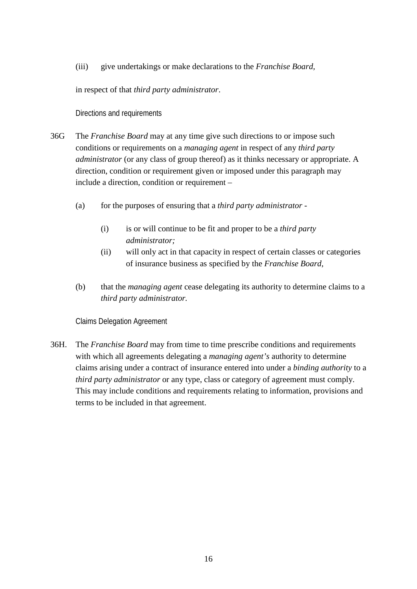(iii) give undertakings or make declarations to the *Franchise Board,*

in respect of that *third party administrator*.

Directions and requirements

- 36G The *Franchise Board* may at any time give such directions to or impose such conditions or requirements on a *managing agent* in respect of any *third party administrator* (or any class of group thereof) as it thinks necessary or appropriate. A direction, condition or requirement given or imposed under this paragraph may include a direction, condition or requirement –
	- (a) for the purposes of ensuring that a *third party administrator -*
		- (i) is or will continue to be fit and proper to be a *third party administrator;*
		- (ii) will only act in that capacity in respect of certain classes or categories of insurance business as specified by the *Franchise Board*,
	- (b) that the *managing agent* cease delegating its authority to determine claims to a *third party administrator.*

Claims Delegation Agreement

36H. The *Franchise Board* may from time to time prescribe conditions and requirements with which all agreements delegating a *managing agent's* authority to determine claims arising under a contract of insurance entered into under a *binding authority* to a *third party administrator* or any type, class or category of agreement must comply. This may include conditions and requirements relating to information, provisions and terms to be included in that agreement.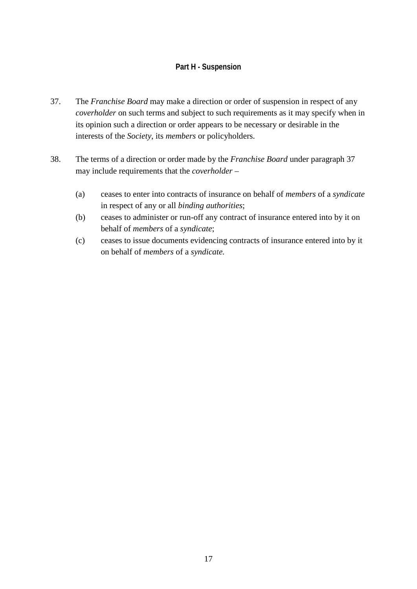# **Part H - Suspension**

- 37. The *Franchise Board* may make a direction or order of suspension in respect of any *coverholder* on such terms and subject to such requirements as it may specify when in its opinion such a direction or order appears to be necessary or desirable in the interests of the *Society*, its *members* or policyholders.
- 38. The terms of a direction or order made by the *Franchise Board* under paragraph 37 may include requirements that the *coverholder* –
	- (a) ceases to enter into contracts of insurance on behalf of *members* of a *syndicate* in respect of any or all *binding authorities*;
	- (b) ceases to administer or run-off any contract of insurance entered into by it on behalf of *members* of a *syndicate*;
	- (c) ceases to issue documents evidencing contracts of insurance entered into by it on behalf of *members* of a *syndicate.*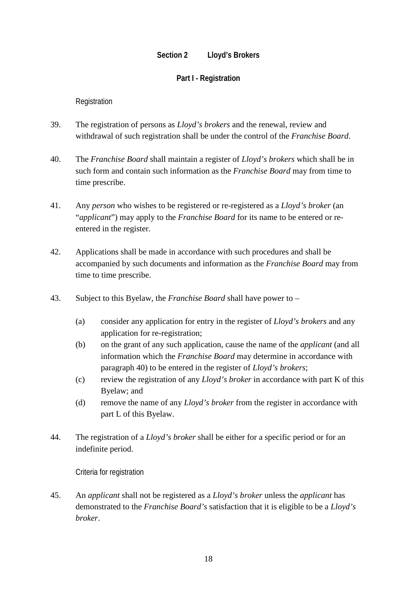#### **Section 2 Lloyd's Brokers**

#### **Part I - Registration**

#### Registration

- 39. The registration of persons as *Lloyd's brokers* and the renewal, review and withdrawal of such registration shall be under the control of the *Franchise Board*.
- 40. The *Franchise Board* shall maintain a register of *Lloyd's brokers* which shall be in such form and contain such information as the *Franchise Board* may from time to time prescribe.
- 41. Any *person* who wishes to be registered or re-registered as a *Lloyd's broker* (an "*applicant*") may apply to the *Franchise Board* for its name to be entered or reentered in the register.
- 42. Applications shall be made in accordance with such procedures and shall be accompanied by such documents and information as the *Franchise Board* may from time to time prescribe.
- 43. Subject to this Byelaw, the *Franchise Board* shall have power to
	- (a) consider any application for entry in the register of *Lloyd's brokers* and any application for re-registration;
	- (b) on the grant of any such application, cause the name of the *applicant* (and all information which the *Franchise Board* may determine in accordance with paragraph 40) to be entered in the register of *Lloyd's brokers*;
	- (c) review the registration of any *Lloyd's broker* in accordance with part K of this Byelaw; and
	- (d) remove the name of any *Lloyd's broker* from the register in accordance with part L of this Byelaw.
- 44. The registration of a *Lloyd's broker* shall be either for a specific period or for an indefinite period.

Criteria for registration

45. An *applicant* shall not be registered as a *Lloyd's broker* unless the *applicant* has demonstrated to the *Franchise Board's* satisfaction that it is eligible to be a *Lloyd's broker*.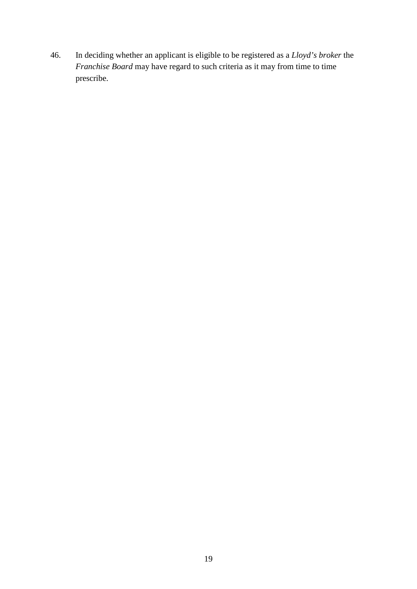46. In deciding whether an applicant is eligible to be registered as a *Lloyd's broker* the *Franchise Board* may have regard to such criteria as it may from time to time prescribe.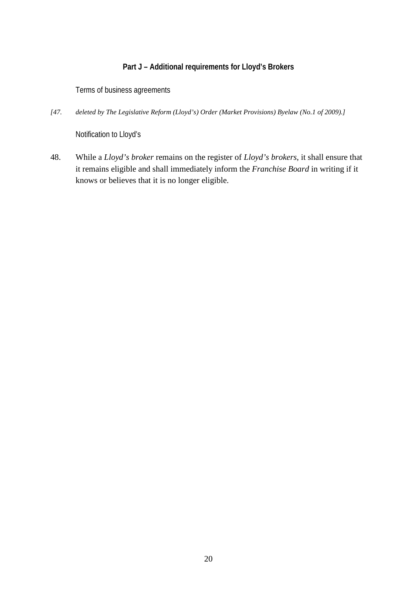# **Part J – Additional requirements for Lloyd's Brokers**

Terms of business agreements

*[47. deleted by The Legislative Reform (Lloyd's) Order (Market Provisions) Byelaw (No.1 of 2009).]*

Notification to Lloyd's

48. While a *Lloyd's broker* remains on the register of *Lloyd's brokers*, it shall ensure that it remains eligible and shall immediately inform the *Franchise Board* in writing if it knows or believes that it is no longer eligible.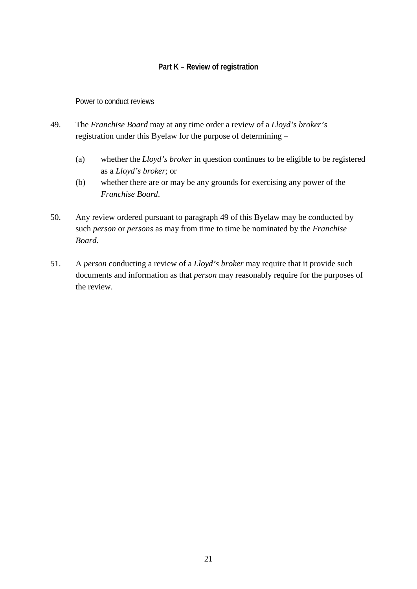# **Part K – Review of registration**

Power to conduct reviews

- 49. The *Franchise Board* may at any time order a review of a *Lloyd's broker's* registration under this Byelaw for the purpose of determining –
	- (a) whether the *Lloyd's broker* in question continues to be eligible to be registered as a *Lloyd's broker*; or
	- (b) whether there are or may be any grounds for exercising any power of the *Franchise Board*.
- 50. Any review ordered pursuant to paragraph 49 of this Byelaw may be conducted by such *person* or *persons* as may from time to time be nominated by the *Franchise Board*.
- 51. A *person* conducting a review of a *Lloyd's broker* may require that it provide such documents and information as that *person* may reasonably require for the purposes of the review.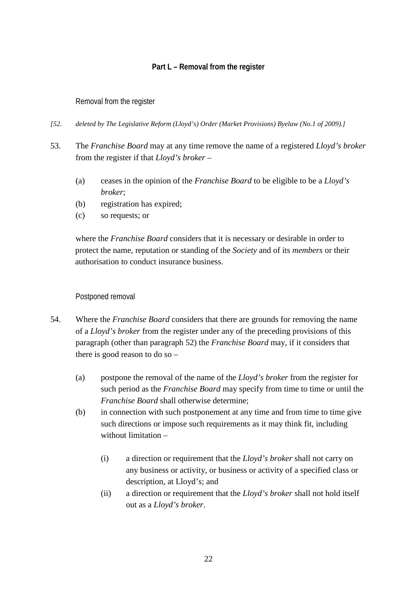# **Part L – Removal from the register**

#### Removal from the register

- *[52. deleted by The Legislative Reform (Lloyd's) Order (Market Provisions) Byelaw (No.1 of 2009).]*
- 53. The *Franchise Board* may at any time remove the name of a registered *Lloyd's broker* from the register if that *Lloyd's broker* –
	- (a) ceases in the opinion of the *Franchise Board* to be eligible to be a *Lloyd's broker*;
	- (b) registration has expired;
	- (c) so requests; or

where the *Franchise Board* considers that it is necessary or desirable in order to protect the name, reputation or standing of the *Society* and of its *members* or their authorisation to conduct insurance business.

#### Postponed removal

- 54. Where the *Franchise Board* considers that there are grounds for removing the name of a *Lloyd's broker* from the register under any of the preceding provisions of this paragraph (other than paragraph 52) the *Franchise Board* may, if it considers that there is good reason to do so –
	- (a) postpone the removal of the name of the *Lloyd's broker* from the register for such period as the *Franchise Board* may specify from time to time or until the *Franchise Board* shall otherwise determine;
	- (b) in connection with such postponement at any time and from time to time give such directions or impose such requirements as it may think fit, including without limitation –
		- (i) a direction or requirement that the *Lloyd's broker* shall not carry on any business or activity, or business or activity of a specified class or description, at Lloyd's; and
		- (ii) a direction or requirement that the *Lloyd's broker* shall not hold itself out as a *Lloyd's broker*.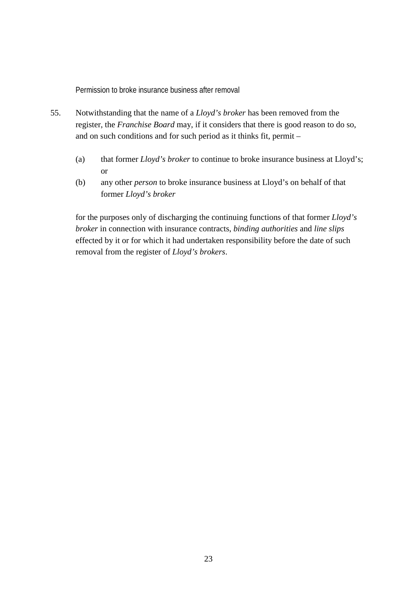Permission to broke insurance business after removal

- 55. Notwithstanding that the name of a *Lloyd's broker* has been removed from the register, the *Franchise Board* may, if it considers that there is good reason to do so, and on such conditions and for such period as it thinks fit, permit –
	- (a) that former *Lloyd's broker* to continue to broke insurance business at Lloyd's; or
	- (b) any other *person* to broke insurance business at Lloyd's on behalf of that former *Lloyd's broker*

for the purposes only of discharging the continuing functions of that former *Lloyd's broker* in connection with insurance contracts, *binding authorities* and *line slips* effected by it or for which it had undertaken responsibility before the date of such removal from the register of *Lloyd's brokers*.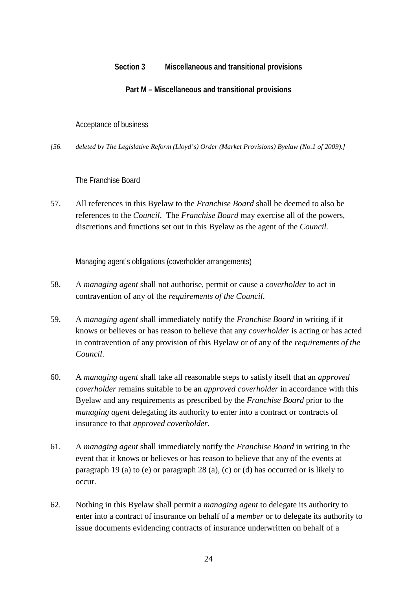# **Section 3 Miscellaneous and transitional provisions**

# **Part M – Miscellaneous and transitional provisions**

#### Acceptance of business

*[56. deleted by The Legislative Reform (Lloyd's) Order (Market Provisions) Byelaw (No.1 of 2009).]*

# The Franchise Board

57. All references in this Byelaw to the *Franchise Board* shall be deemed to also be references to the *Council*. The *Franchise Board* may exercise all of the powers, discretions and functions set out in this Byelaw as the agent of the *Council.*

Managing agent's obligations (coverholder arrangements)

- 58. A *managing agent* shall not authorise, permit or cause a *coverholder* to act in contravention of any of the *requirements of the Council*.
- 59. A *managing agent* shall immediately notify the *Franchise Board* in writing if it knows or believes or has reason to believe that any *coverholder* is acting or has acted in contravention of any provision of this Byelaw or of any of the *requirements of the Council*.
- 60. A *managing agent* shall take all reasonable steps to satisfy itself that an *approved coverholder* remains suitable to be an *approved coverholder* in accordance with this Byelaw and any requirements as prescribed by the *Franchise Board* prior to the *managing agent* delegating its authority to enter into a contract or contracts of insurance to that *approved coverholder*.
- 61. A *managing agent* shall immediately notify the *Franchise Board* in writing in the event that it knows or believes or has reason to believe that any of the events at paragraph 19 (a) to (e) or paragraph 28 (a), (c) or (d) has occurred or is likely to occur.
- 62. Nothing in this Byelaw shall permit a *managing agent* to delegate its authority to enter into a contract of insurance on behalf of a *member* or to delegate its authority to issue documents evidencing contracts of insurance underwritten on behalf of a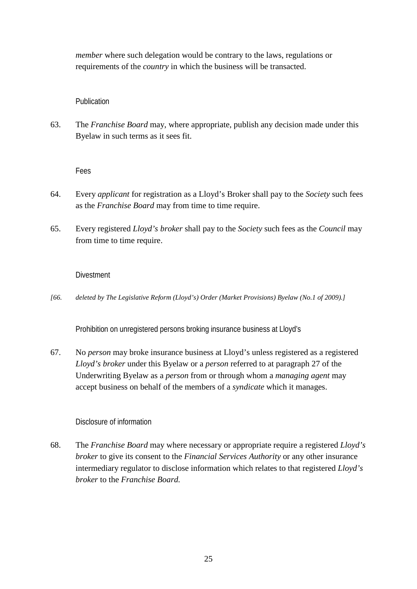*member* where such delegation would be contrary to the laws, regulations or requirements of the *country* in which the business will be transacted.

#### Publication

63. The *Franchise Board* may, where appropriate, publish any decision made under this Byelaw in such terms as it sees fit.

Fees

- 64. Every *applicant* for registration as a Lloyd's Broker shall pay to the *Society* such fees as the *Franchise Board* may from time to time require.
- 65. Every registered *Lloyd's broker* shall pay to the *Society* such fees as the *Council* may from time to time require.

#### **Divestment**

*[66. deleted by The Legislative Reform (Lloyd's) Order (Market Provisions) Byelaw (No.1 of 2009).]*

Prohibition on unregistered persons broking insurance business at Lloyd's

67. No *person* may broke insurance business at Lloyd's unless registered as a registered *Lloyd's broker* under this Byelaw or a *person* referred to at paragraph 27 of the Underwriting Byelaw as a *person* from or through whom a *managing agent* may accept business on behalf of the members of a *syndicate* which it manages.

#### Disclosure of information

68. The *Franchise Board* may where necessary or appropriate require a registered *Lloyd's broker* to give its consent to the *Financial Services Authority* or any other insurance intermediary regulator to disclose information which relates to that registered *Lloyd's broker* to the *Franchise Board.*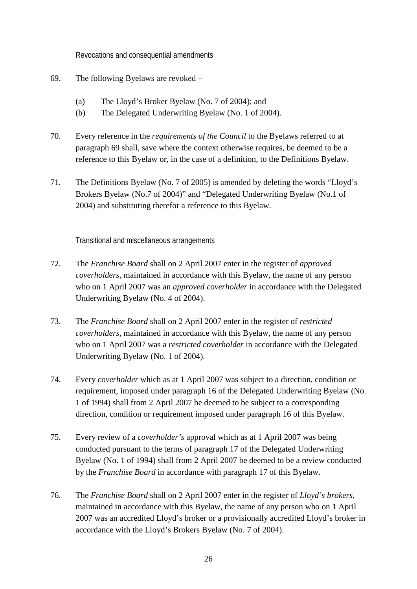Revocations and consequential amendments

- 69. The following Byelaws are revoked
	- (a) The Lloyd's Broker Byelaw (No. 7 of 2004); and
	- (b) The Delegated Underwriting Byelaw (No. 1 of 2004).
- 70. Every reference in the *requirements of the Council* to the Byelaws referred to at paragraph 69 shall, save where the context otherwise requires, be deemed to be a reference to this Byelaw or, in the case of a definition, to the Definitions Byelaw.
- 71. The Definitions Byelaw (No. 7 of 2005) is amended by deleting the words "Lloyd's Brokers Byelaw (No.7 of 2004)" and "Delegated Underwriting Byelaw (No.1 of 2004) and substituting therefor a reference to this Byelaw.

Transitional and miscellaneous arrangements

- 72. The *Franchise Board* shall on 2 April 2007 enter in the register of *approved coverholders,* maintained in accordance with this Byelaw, the name of any person who on 1 April 2007 was an *approved coverholder* in accordance with the Delegated Underwriting Byelaw (No. 4 of 2004).
- 73. The *Franchise Board* shall on 2 April 2007 enter in the register of *restricted coverholders,* maintained in accordance with this Byelaw, the name of any person who on 1 April 2007 was a *restricted coverholder* in accordance with the Delegated Underwriting Byelaw (No. 1 of 2004).
- 74. Every *coverholder* which as at 1 April 2007 was subject to a direction, condition or requirement, imposed under paragraph 16 of the Delegated Underwriting Byelaw (No. 1 of 1994) shall from 2 April 2007 be deemed to be subject to a corresponding direction, condition or requirement imposed under paragraph 16 of this Byelaw.
- 75. Every review of a *coverholder's* approval which as at 1 April 2007 was being conducted pursuant to the terms of paragraph 17 of the Delegated Underwriting Byelaw (No. 1 of 1994) shall from 2 April 2007 be deemed to be a review conducted by the *Franchise Board* in accordance with paragraph 17 of this Byelaw.
- 76. The *Franchise Board* shall on 2 April 2007 enter in the register of *Lloyd's brokers*, maintained in accordance with this Byelaw, the name of any person who on 1 April 2007 was an accredited Lloyd's broker or a provisionally accredited Lloyd's broker in accordance with the Lloyd's Brokers Byelaw (No. 7 of 2004).